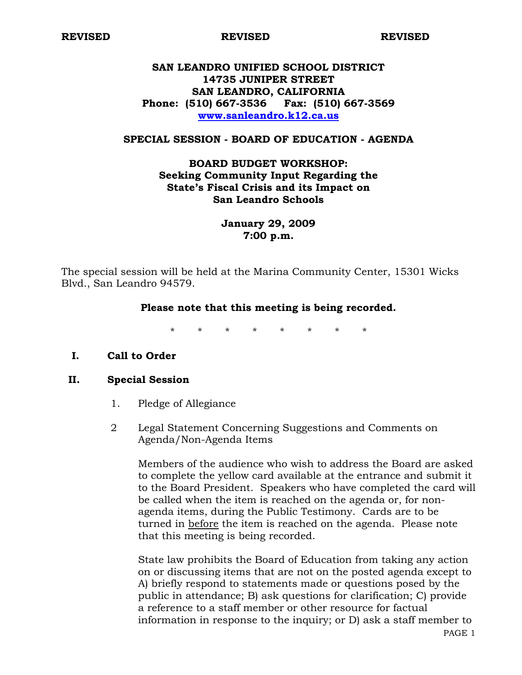**REVISED REVISED REVISED** 

# **SAN LEANDRO UNIFIED SCHOOL DISTRICT 14735 JUNIPER STREET SAN LEANDRO, CALIFORNIA Phone: (510) 667-3536 Fax: (510) 667-3569 www.sanleandro.k12.ca.us**

### **SPECIAL SESSION - BOARD OF EDUCATION - AGENDA**

# **BOARD BUDGET WORKSHOP: Seeking Community Input Regarding the State's Fiscal Crisis and its Impact on San Leandro Schools**

## **January 29, 2009 7:00 p.m.**

The special session will be held at the Marina Community Center, 15301 Wicks Blvd., San Leandro 94579.

#### **Please note that this meeting is being recorded.**

\* \* \* \* \* \* \* \*

## **I. Call to Order**

### **II. Special Session**

- 1. Pledge of Allegiance
- 2 Legal Statement Concerning Suggestions and Comments on Agenda/Non-Agenda Items

Members of the audience who wish to address the Board are asked to complete the yellow card available at the entrance and submit it to the Board President. Speakers who have completed the card will be called when the item is reached on the agenda or, for nonagenda items, during the Public Testimony. Cards are to be turned in before the item is reached on the agenda. Please note that this meeting is being recorded.

State law prohibits the Board of Education from taking any action on or discussing items that are not on the posted agenda except to A) briefly respond to statements made or questions posed by the public in attendance; B) ask questions for clarification; C) provide a reference to a staff member or other resource for factual information in response to the inquiry; or D) ask a staff member to